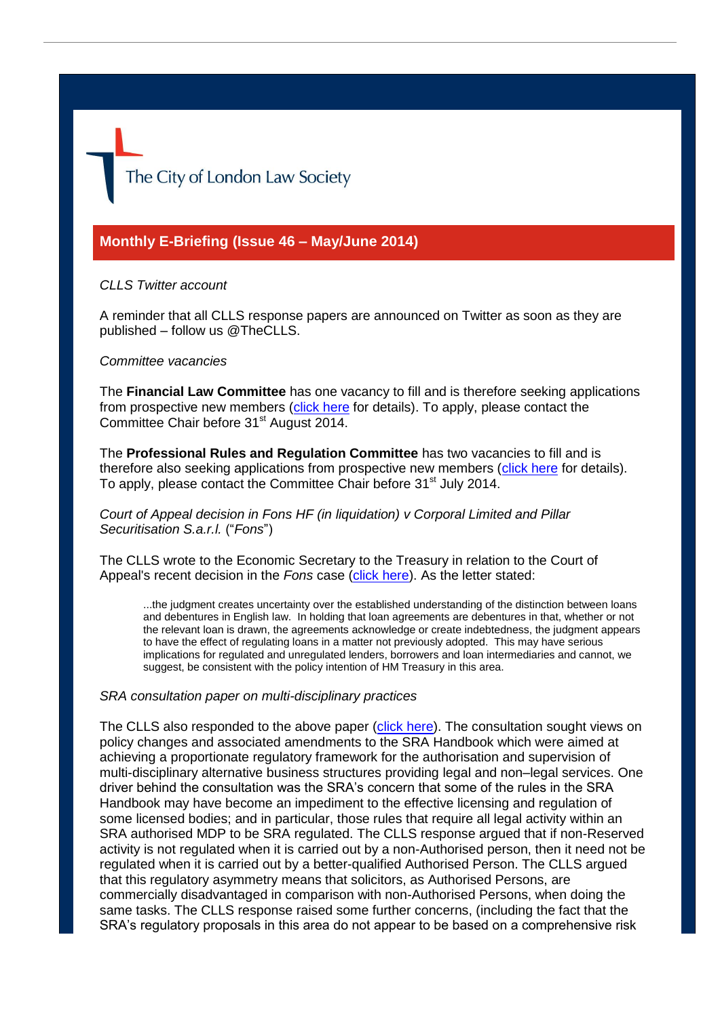The City of London Law Society

# **Monthly E-Briefing (Issue 46 – May/June 2014)**

#### *CLLS Twitter account*

A reminder that all CLLS response papers are announced on Twitter as soon as they are published – follow us @TheCLLS.

### *Committee vacancies*

The **Financial Law Committee** has one vacancy to fill and is therefore seeking applications from prospective new members [\(click here](http://www.citysolicitors.org.uk/attachments/article/121/0614%20Financial%20Law%20Committee%20vacancy%20announcement.pdf) for details). To apply, please contact the Committee Chair before 31<sup>st</sup> August 2014.

The **Professional Rules and Regulation Committee** has two vacancies to fill and is therefore also seeking applications from prospective new members [\(click here](http://www.citysolicitors.org.uk/attachments/article/108/CLLS%20PRRC%20vacancy%20wording%20522152223_3.pdf) for details). To apply, please contact the Committee Chair before 31<sup>st</sup> July 2014.

*Court of Appeal decision in Fons HF (in liquidation) v Corporal Limited and Pillar Securitisation S.a.r.l.* ("*Fons*")

The CLLS wrote to the Economic Secretary to the Treasury in relation to the Court of Appeal's recent decision in the *Fons* case [\(click here\)](http://www.citysolicitors.org.uk/attachments/article/121/20140604%20Letter%20re%20implications%20of%20decision%20in%20matter%20of%20Fons%20HF%20(in%20liquidation)%20v%20Corporal%20Limited%20and%20Pillar%20Securitisation%20S%20a%20r%20l%20(final).pdf). As the letter stated:

...the judgment creates uncertainty over the established understanding of the distinction between loans and debentures in English law. In holding that loan agreements are debentures in that, whether or not the relevant loan is drawn, the agreements acknowledge or create indebtedness, the judgment appears to have the effect of regulating loans in a matter not previously adopted. This may have serious implications for regulated and unregulated lenders, borrowers and loan intermediaries and cannot, we suggest, be consistent with the policy intention of HM Treasury in this area.

#### *SRA consultation paper on multi-disciplinary practices*

The CLLS also responded to the above paper [\(click here\)](http://www.citysolicitors.org.uk/attachments/article/108/20140627%20CLLS%20response%20to%20SRA%20consultation%20paper%20). The consultation sought views on policy changes and associated amendments to the SRA Handbook which were aimed at achieving a proportionate regulatory framework for the authorisation and supervision of multi-disciplinary alternative business structures providing legal and non–legal services. One driver behind the consultation was the SRA's concern that some of the rules in the SRA Handbook may have become an impediment to the effective licensing and regulation of some licensed bodies; and in particular, those rules that require all legal activity within an SRA authorised MDP to be SRA regulated. The CLLS response argued that if non-Reserved activity is not regulated when it is carried out by a non-Authorised person, then it need not be regulated when it is carried out by a better-qualified Authorised Person. The CLLS argued that this regulatory asymmetry means that solicitors, as Authorised Persons, are commercially disadvantaged in comparison with non-Authorised Persons, when doing the same tasks. The CLLS response raised some further concerns, (including the fact that the SRA's regulatory proposals in this area do not appear to be based on a comprehensive risk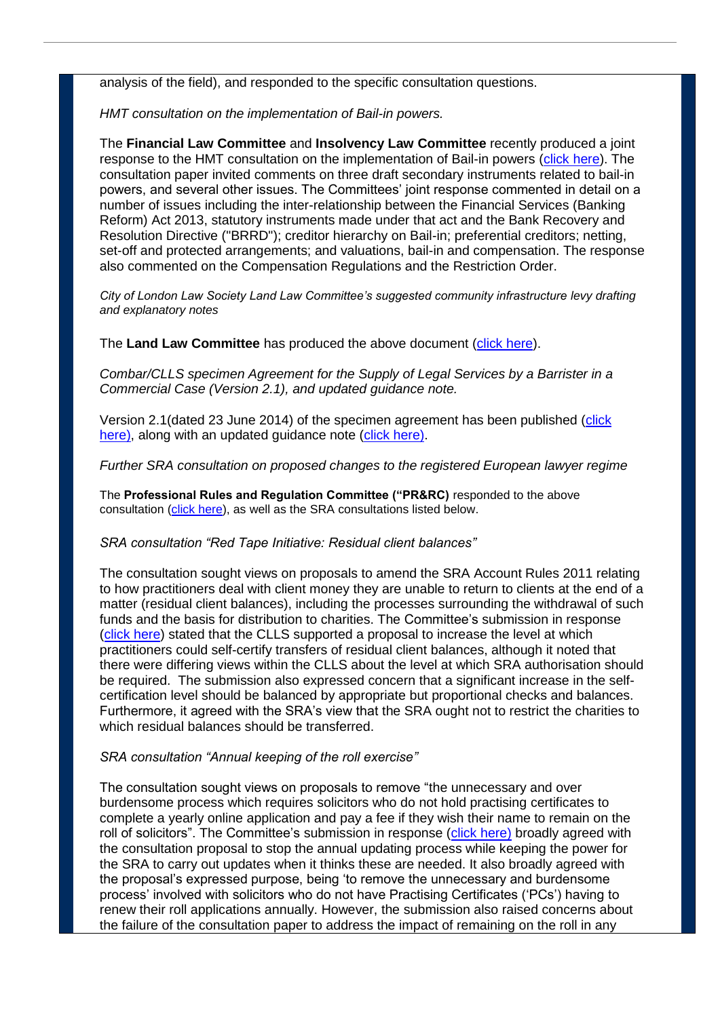analysis of the field), and responded to the specific consultation questions.

*HMT consultation on the implementation of Bail-in powers.*

The **Financial Law Committee** and **Insolvency Law Committee** recently produced a joint response to the HMT consultation on the implementation of Bail-in powers [\(click here\)](http://www.citysolicitors.org.uk/attachments/article/121/20140514%20CLLS%20response%20to%20HMT%20open%20consultation%20on%20the%20implementation%20of%20Bail-in%20powers%20(final).pdf). The consultation paper invited comments on three draft secondary instruments related to bail-in powers, and several other issues. The Committees' joint response commented in detail on a number of issues including the inter-relationship between the Financial Services (Banking Reform) Act 2013, statutory instruments made under that act and the Bank Recovery and Resolution Directive ("BRRD"); creditor hierarchy on Bail-in; preferential creditors; netting, set-off and protected arrangements; and valuations, bail-in and compensation. The response also commented on the Compensation Regulations and the Restriction Order.

*City of London Law Society Land Law Committee's suggested community infrastructure levy drafting and explanatory notes*

The **Land Law Committee** has produced the above document [\(click here\)](http://www.citysolicitors.org.uk/attachments/article/114/Community%20infrastructure%20levy%20drafting.pdf).

*Combar/CLLS specimen Agreement for the Supply of Legal Services by a Barrister in a Commercial Case (Version 2.1), and updated guidance note.* 

Version 2.1(dated 23 June 2014) of the specimen agreement has been published [\(click](http://www.citysolicitors.org.uk/attachments/article/112/20140624%20Combar%20CLLS%20Barrister)  [here\)](http://www.citysolicitors.org.uk/attachments/article/112/20140624%20Combar%20CLLS%20Barrister), along with an updated guidance note [\(click here\)](http://www.citysolicitors.org.uk/attachments/article/112/20140624%20Guidance%20note%20on%20Combar%20CLLS%20barrister).

*Further SRA consultation on proposed changes to the registered European lawyer regime*

The **Professional Rules and Regulation Committee ("PR&RC)** responded to the above consultation [\(click here\)](http://www.citysolicitors.org.uk/attachments/article/108/20140624%20CLLS%20response%20to%20SRA%20further%20consultation%20on%20proposed%20changes%20to%20the%20registered%20European%20lawyer%20regime.pdf), as well as the SRA consultations listed below.

#### *SRA consultation "Red Tape Initiative: Residual client balances"*

The consultation sought views on proposals to amend the SRA Account Rules 2011 relating to how practitioners deal with client money they are unable to return to clients at the end of a matter (residual client balances), including the processes surrounding the withdrawal of such funds and the basis for distribution to charities. The Committee's submission in response [\(click here\)](http://www.citysolicitors.org.uk/attachments/article/108/20140523%20CLLS%20response%20to%20SRA%20consultation%20) stated that the CLLS supported a proposal to increase the level at which practitioners could self-certify transfers of residual client balances, although it noted that there were differing views within the CLLS about the level at which SRA authorisation should be required. The submission also expressed concern that a significant increase in the selfcertification level should be balanced by appropriate but proportional checks and balances. Furthermore, it agreed with the SRA's view that the SRA ought not to restrict the charities to which residual balances should be transferred.

#### *SRA consultation "Annual keeping of the roll exercise"*

The consultation sought views on proposals to remove "the unnecessary and over burdensome process which requires solicitors who do not hold practising certificates to complete a yearly online application and pay a fee if they wish their name to remain on the roll of solicitors". The Committee's submission in response [\(click here\)](http://www.citysolicitors.org.uk/attachments/article/108/20140507%20PRRC%20response%20to%20SRA%20consultation%20) broadly agreed with the consultation proposal to stop the annual updating process while keeping the power for the SRA to carry out updates when it thinks these are needed. It also broadly agreed with the proposal's expressed purpose, being 'to remove the unnecessary and burdensome process' involved with solicitors who do not have Practising Certificates ('PCs') having to renew their roll applications annually. However, the submission also raised concerns about the failure of the consultation paper to address the impact of remaining on the roll in any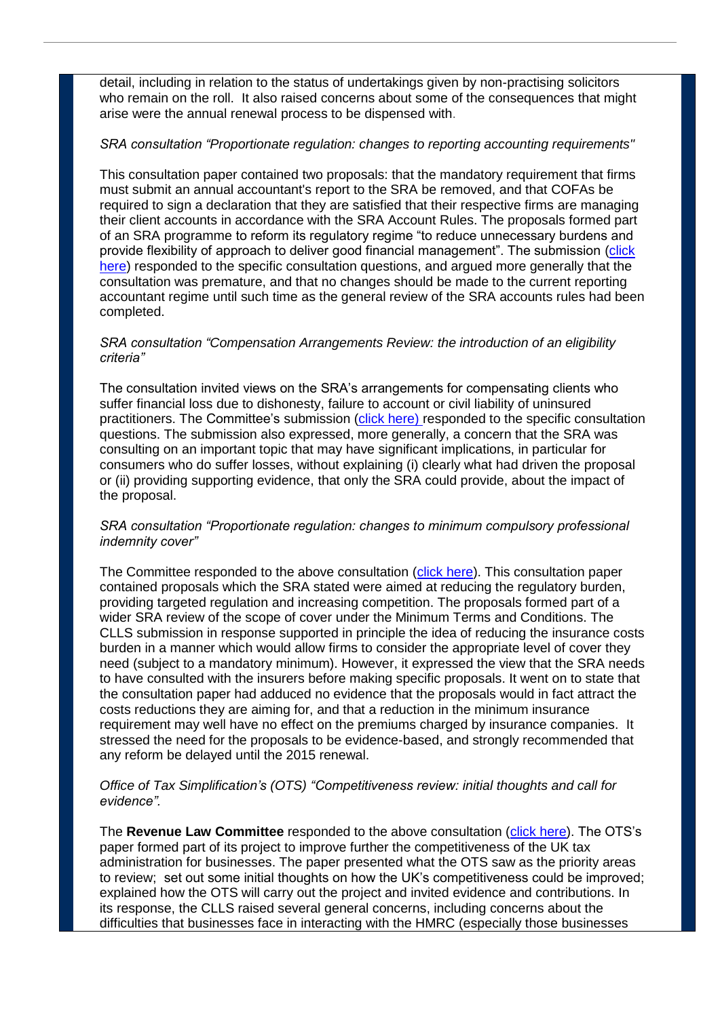detail, including in relation to the status of undertakings given by non-practising solicitors who remain on the roll. It also raised concerns about some of the consequences that might arise were the annual renewal process to be dispensed with.

## *SRA consultation "Proportionate regulation: changes to reporting accounting requirements"*

This consultation paper contained two proposals: that the mandatory requirement that firms must submit an annual accountant's report to the SRA be removed, and that COFAs be required to sign a declaration that they are satisfied that their respective firms are managing their client accounts in accordance with the SRA Account Rules. The proposals formed part of an SRA programme to reform its regulatory regime "to reduce unnecessary burdens and provide flexibility of approach to deliver good financial management". The submission [\(click](http://www.citysolicitors.org.uk/attachments/article/108/20140617%20Proportionate%20regulation%20-%20changes%20to%20reporting%20accounting%20requirements%20(final).pdf)  [here\)](http://www.citysolicitors.org.uk/attachments/article/108/20140617%20Proportionate%20regulation%20-%20changes%20to%20reporting%20accounting%20requirements%20(final).pdf) responded to the specific consultation questions, and argued more generally that the consultation was premature, and that no changes should be made to the current reporting accountant regime until such time as the general review of the SRA accounts rules had been completed.

## *SRA consultation "Compensation Arrangements Review: the introduction of an eligibility criteria"*

The consultation invited views on the SRA's arrangements for compensating clients who suffer financial loss due to dishonesty, failure to account or civil liability of uninsured practitioners. The Committee's submission [\(click here\)](http://www.citysolicitors.org.uk/attachments/article/108/20140618%20CLLS%20response%20to%20SRA%20consultation%20) responded to the specific consultation questions. The submission also expressed, more generally, a concern that the SRA was consulting on an important topic that may have significant implications, in particular for consumers who do suffer losses, without explaining (i) clearly what had driven the proposal or (ii) providing supporting evidence, that only the SRA could provide, about the impact of the proposal.

## *SRA consultation "Proportionate regulation: changes to minimum compulsory professional indemnity cover"*

The Committee responded to the above consultation [\(click here\)](http://www.citysolicitors.org.uk/attachments/article/108/20140618%20CLLS%20response%20to%20SRA%20consultation%20). This consultation paper contained proposals which the SRA stated were aimed at reducing the regulatory burden, providing targeted regulation and increasing competition. The proposals formed part of a wider SRA review of the scope of cover under the Minimum Terms and Conditions. The CLLS submission in response supported in principle the idea of reducing the insurance costs burden in a manner which would allow firms to consider the appropriate level of cover they need (subject to a mandatory minimum). However, it expressed the view that the SRA needs to have consulted with the insurers before making specific proposals. It went on to state that the consultation paper had adduced no evidence that the proposals would in fact attract the costs reductions they are aiming for, and that a reduction in the minimum insurance requirement may well have no effect on the premiums charged by insurance companies. It stressed the need for the proposals to be evidence-based, and strongly recommended that any reform be delayed until the 2015 renewal.

## *Office of Tax Simplification's (OTS) "Competitiveness review: initial thoughts and call for evidence".*

The **Revenue Law Committee** responded to the above consultation [\(click here\)](http://www.citysolicitors.org.uk/index.php?option=com_content&view=category&id=155&Itemid=469). The OTS's paper formed part of its project to improve further the competitiveness of the UK tax administration for businesses. The paper presented what the OTS saw as the priority areas to review; set out some initial thoughts on how the UK's competitiveness could be improved; explained how the OTS will carry out the project and invited evidence and contributions. In its response, the CLLS raised several general concerns, including concerns about the difficulties that businesses face in interacting with the HMRC (especially those businesses